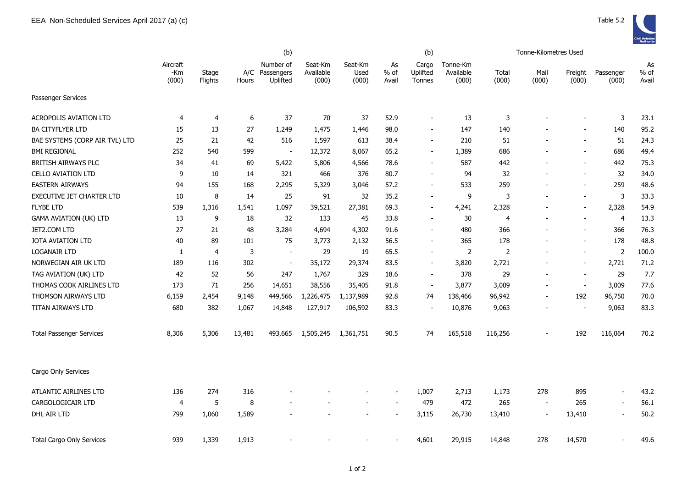|                                  |                          |                  | (b)              |                                         |                               |                          |                       | (b)                                |                                |                | Tonne-Kilometres Used    |                          |                          |                     |
|----------------------------------|--------------------------|------------------|------------------|-----------------------------------------|-------------------------------|--------------------------|-----------------------|------------------------------------|--------------------------------|----------------|--------------------------|--------------------------|--------------------------|---------------------|
|                                  | Aircraft<br>-Km<br>(000) | Stage<br>Flights | Hours            | Number of<br>A/C Passengers<br>Uplifted | Seat-Km<br>Available<br>(000) | Seat-Km<br>Used<br>(000) | As<br>$%$ of<br>Avail | Cargo<br>Uplifted<br><b>Tonnes</b> | Tonne-Km<br>Available<br>(000) | Total<br>(000) | Mail<br>(000)            | Freight<br>(000)         | Passenger<br>(000)       | As<br>% of<br>Avail |
| Passenger Services               |                          |                  |                  |                                         |                               |                          |                       |                                    |                                |                |                          |                          |                          |                     |
| <b>ACROPOLIS AVIATION LTD</b>    | 4                        | 4                | $\boldsymbol{6}$ | 37                                      | 70                            | 37                       | 52.9                  | $\overline{\phantom{a}}$           | 13                             | 3              |                          | $\overline{\phantom{a}}$ | 3                        | 23.1                |
| <b>BA CITYFLYER LTD</b>          | 15                       | 13               | 27               | 1,249                                   | 1,475                         | 1,446                    | 98.0                  | $\blacksquare$                     | 147                            | 140            |                          | $\overline{\phantom{a}}$ | 140                      | 95.2                |
| BAE SYSTEMS (CORP AIR TVL) LTD   | 25                       | 21               | 42               | 516                                     | 1,597                         | 613                      | 38.4                  | $\overline{\phantom{a}}$           | 210                            | 51             |                          | $\blacksquare$           | 51                       | 24.3                |
| <b>BMI REGIONAL</b>              | 252                      | 540              | 599              | $\blacksquare$                          | 12,372                        | 8,067                    | 65.2                  | $\overline{\phantom{a}}$           | 1,389                          | 686            |                          | $\overline{a}$           | 686                      | 49.4                |
| <b>BRITISH AIRWAYS PLC</b>       | 34                       | 41               | 69               | 5,422                                   | 5,806                         | 4,566                    | 78.6                  | $\overline{\phantom{a}}$           | 587                            | 442            |                          | $\blacksquare$           | 442                      | 75.3                |
| <b>CELLO AVIATION LTD</b>        | 9                        | 10               | 14               | 321                                     | 466                           | 376                      | 80.7                  | $\overline{\phantom{a}}$           | 94                             | 32             |                          | $\blacksquare$           | 32                       | 34.0                |
| <b>EASTERN AIRWAYS</b>           | 94                       | 155              | 168              | 2,295                                   | 5,329                         | 3,046                    | 57.2                  | $\overline{\phantom{a}}$           | 533                            | 259            |                          | $\overline{\phantom{a}}$ | 259                      | 48.6                |
| EXECUTIVE JET CHARTER LTD        | 10                       | 8                | 14               | 25                                      | 91                            | 32                       | 35.2                  | $\overline{\phantom{m}}$           | 9                              | 3              |                          | $\overline{\phantom{a}}$ | 3                        | 33.3                |
| <b>FLYBE LTD</b>                 | 539                      | 1,316            | 1,541            | 1,097                                   | 39,521                        | 27,381                   | 69.3                  | $\blacksquare$                     | 4,241                          | 2,328          |                          | $\overline{\phantom{a}}$ | 2,328                    | 54.9                |
| <b>GAMA AVIATION (UK) LTD</b>    | 13                       | 9                | 18               | 32                                      | 133                           | 45                       | 33.8                  | $\blacksquare$                     | 30                             | 4              |                          | $\overline{\phantom{a}}$ | $\overline{4}$           | 13.3                |
| JET2.COM LTD                     | 27                       | 21               | 48               | 3,284                                   | 4,694                         | 4,302                    | 91.6                  | $\blacksquare$                     | 480                            | 366            |                          | $\blacksquare$           | 366                      | 76.3                |
| JOTA AVIATION LTD                | 40                       | 89               | 101              | 75                                      | 3,773                         | 2,132                    | 56.5                  | $\blacksquare$                     | 365                            | 178            |                          | $\blacksquare$           | 178                      | 48.8                |
| <b>LOGANAIR LTD</b>              | 1                        | 4                | 3                | $\sim$                                  | 29                            | 19                       | 65.5                  | $\overline{\phantom{m}}$           | $\overline{2}$                 | 2              |                          | $\overline{\phantom{a}}$ | $\overline{2}$           | 100.0               |
| NORWEGIAN AIR UK LTD             | 189                      | 116              | 302              | $\blacksquare$                          | 35,172                        | 29,374                   | 83.5                  | $\overline{\phantom{a}}$           | 3,820                          | 2,721          |                          | $\overline{\phantom{a}}$ | 2,721                    | 71.2                |
| TAG AVIATION (UK) LTD            | 42                       | 52               | 56               | 247                                     | 1,767                         | 329                      | 18.6                  | $\overline{\phantom{a}}$           | 378                            | 29             |                          | $\overline{\phantom{a}}$ | 29                       | 7.7                 |
| THOMAS COOK AIRLINES LTD         | 173                      | 71               | 256              | 14,651                                  | 38,556                        | 35,405                   | 91.8                  | $\blacksquare$                     | 3,877                          | 3,009          |                          | $\overline{\phantom{a}}$ | 3,009                    | 77.6                |
| THOMSON AIRWAYS LTD              | 6,159                    | 2,454            | 9,148            | 449,566                                 | 1,226,475                     | 1,137,989                | 92.8                  | 74                                 | 138,466                        | 96,942         |                          | 192                      | 96,750                   | 70.0                |
| TITAN AIRWAYS LTD                | 680                      | 382              | 1,067            | 14,848                                  | 127,917                       | 106,592                  | 83.3                  | $\overline{\phantom{a}}$           | 10,876                         | 9,063          |                          | $\overline{\phantom{a}}$ | 9,063                    | 83.3                |
| <b>Total Passenger Services</b>  | 8,306                    | 5,306            | 13,481           | 493,665                                 | 1,505,245                     | 1,361,751                | 90.5                  | 74                                 | 165,518                        | 116,256        |                          | 192                      | 116,064                  | 70.2                |
| Cargo Only Services              |                          |                  |                  |                                         |                               |                          |                       |                                    |                                |                |                          |                          |                          |                     |
| ATLANTIC AIRLINES LTD            | 136                      | 274              | 316              |                                         |                               |                          |                       | 1,007                              | 2,713                          | 1,173          | 278                      | 895                      | $\blacksquare$           | 43.2                |
| CARGOLOGICAIR LTD                | 4                        | 5                | 8                |                                         |                               |                          |                       | 479                                | 472                            | 265            | $\overline{\phantom{a}}$ | 265                      | $\overline{\phantom{a}}$ | 56.1                |
| DHL AIR LTD                      | 799                      | 1,060            | 1,589            |                                         |                               |                          |                       | 3,115                              | 26,730                         | 13,410         |                          | 13,410                   |                          | 50.2                |
| <b>Total Cargo Only Services</b> | 939                      | 1,339            | 1,913            |                                         |                               |                          |                       | 4,601                              | 29,915                         | 14,848         | 278                      | 14,570                   |                          | 49.6                |